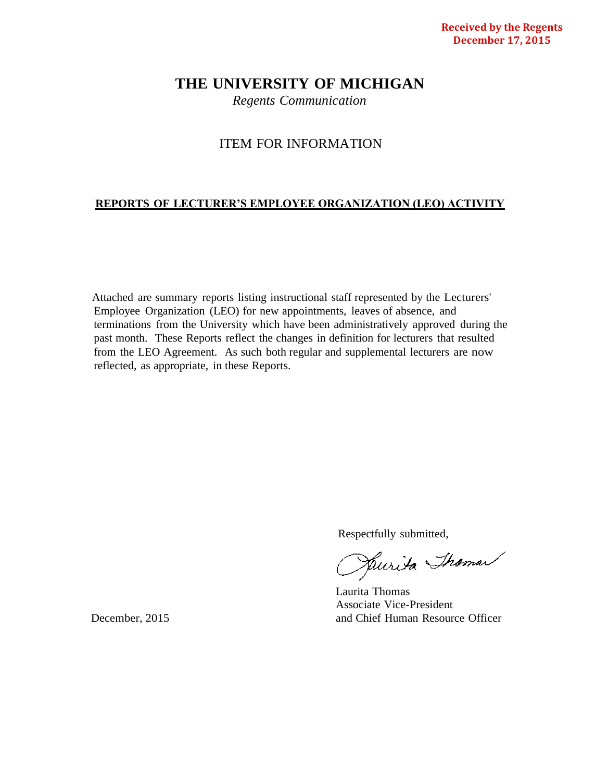# **THE UNIVERSITY OF MICHIGAN**

*Regents Communication*

# ITEM FOR INFORMATION

# **REPORTS OF LECTURER'S EMPLOYEE ORGANIZATION (LEO) ACTIVITY**

Attached are summary reports listing instructional staff represented by the Lecturers' Employee Organization (LEO) for new appointments, leaves of absence, and terminations from the University which have been administratively approved during the past month. These Reports reflect the changes in definition for lecturers that resulted from the LEO Agreement. As such both regular and supplemental lecturers are now reflected, as appropriate, in these Reports.

Respectfully submitted,<br>Respectfully to the Shaman

Laurita Thomas Associate Vice-President December, 2015 and Chief Human Resource Officer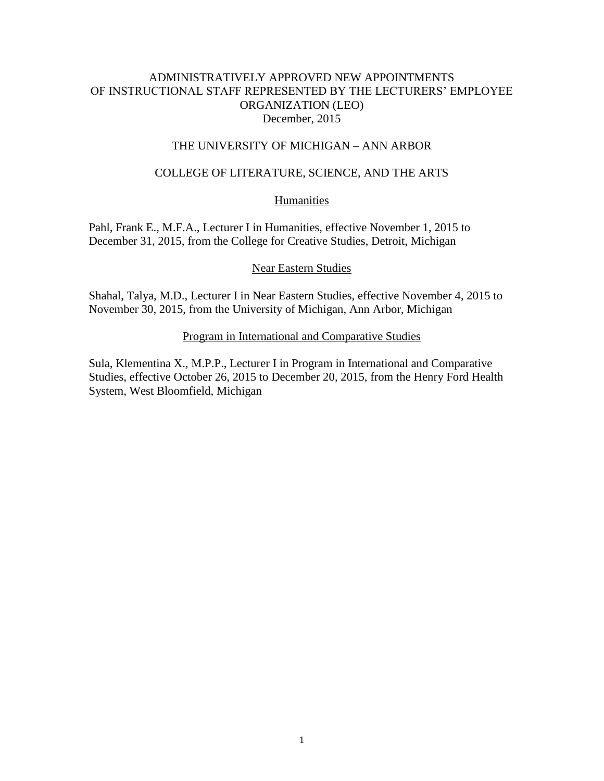# ADMINISTRATIVELY APPROVED NEW APPOINTMENTS OF INSTRUCTIONAL STAFF REPRESENTED BY THE LECTURERS' EMPLOYEE ORGANIZATION (LEO) December, 2015

### THE UNIVERSITY OF MICHIGAN – ANN ARBOR

### COLLEGE OF LITERATURE, SCIENCE, AND THE ARTS

### **Humanities**

Pahl, Frank E., M.F.A., Lecturer I in Humanities, effective November 1, 2015 to December 31, 2015, from the College for Creative Studies, Detroit, Michigan

#### Near Eastern Studies

Shahal, Talya, M.D., Lecturer I in Near Eastern Studies, effective November 4, 2015 to November 30, 2015, from the University of Michigan, Ann Arbor, Michigan

### Program in International and Comparative Studies

Sula, Klementina X., M.P.P., Lecturer I in Program in International and Comparative Studies, effective October 26, 2015 to December 20, 2015, from the Henry Ford Health System, West Bloomfield, Michigan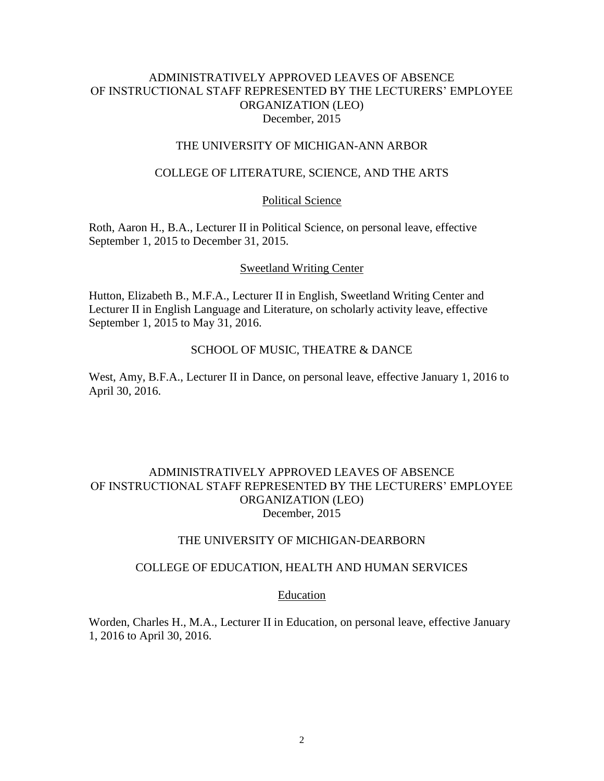# ADMINISTRATIVELY APPROVED LEAVES OF ABSENCE OF INSTRUCTIONAL STAFF REPRESENTED BY THE LECTURERS' EMPLOYEE ORGANIZATION (LEO) December, 2015

#### THE UNIVERSITY OF MICHIGAN-ANN ARBOR

### COLLEGE OF LITERATURE, SCIENCE, AND THE ARTS

#### Political Science

Roth, Aaron H., B.A., Lecturer II in Political Science, on personal leave, effective September 1, 2015 to December 31, 2015.

#### Sweetland Writing Center

Hutton, Elizabeth B., M.F.A., Lecturer II in English, Sweetland Writing Center and Lecturer II in English Language and Literature, on scholarly activity leave, effective September 1, 2015 to May 31, 2016.

# SCHOOL OF MUSIC, THEATRE & DANCE

West, Amy, B.F.A., Lecturer II in Dance, on personal leave, effective January 1, 2016 to April 30, 2016.

# ADMINISTRATIVELY APPROVED LEAVES OF ABSENCE OF INSTRUCTIONAL STAFF REPRESENTED BY THE LECTURERS' EMPLOYEE ORGANIZATION (LEO) December, 2015

#### THE UNIVERSITY OF MICHIGAN-DEARBORN

#### COLLEGE OF EDUCATION, HEALTH AND HUMAN SERVICES

#### Education

Worden, Charles H., M.A., Lecturer II in Education, on personal leave, effective January 1, 2016 to April 30, 2016.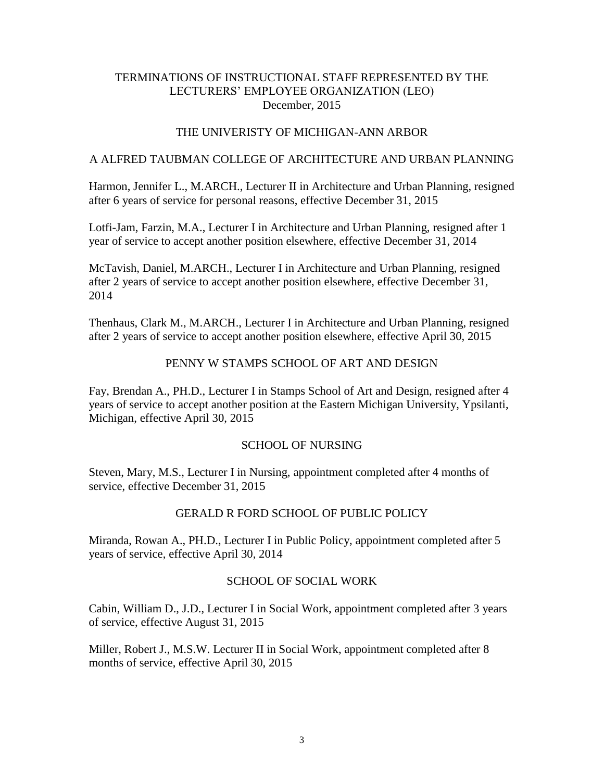# TERMINATIONS OF INSTRUCTIONAL STAFF REPRESENTED BY THE LECTURERS' EMPLOYEE ORGANIZATION (LEO) December, 2015

# THE UNIVERISTY OF MICHIGAN-ANN ARBOR

### A ALFRED TAUBMAN COLLEGE OF ARCHITECTURE AND URBAN PLANNING

Harmon, Jennifer L., M.ARCH., Lecturer II in Architecture and Urban Planning, resigned after 6 years of service for personal reasons, effective December 31, 2015

Lotfi-Jam, Farzin, M.A., Lecturer I in Architecture and Urban Planning, resigned after 1 year of service to accept another position elsewhere, effective December 31, 2014

McTavish, Daniel, M.ARCH., Lecturer I in Architecture and Urban Planning, resigned after 2 years of service to accept another position elsewhere, effective December 31, 2014

Thenhaus, Clark M., M.ARCH., Lecturer I in Architecture and Urban Planning, resigned after 2 years of service to accept another position elsewhere, effective April 30, 2015

### PENNY W STAMPS SCHOOL OF ART AND DESIGN

Fay, Brendan A., PH.D., Lecturer I in Stamps School of Art and Design, resigned after 4 years of service to accept another position at the Eastern Michigan University, Ypsilanti, Michigan, effective April 30, 2015

#### SCHOOL OF NURSING

Steven, Mary, M.S., Lecturer I in Nursing, appointment completed after 4 months of service, effective December 31, 2015

# GERALD R FORD SCHOOL OF PUBLIC POLICY

Miranda, Rowan A., PH.D., Lecturer I in Public Policy, appointment completed after 5 years of service, effective April 30, 2014

# SCHOOL OF SOCIAL WORK

Cabin, William D., J.D., Lecturer I in Social Work, appointment completed after 3 years of service, effective August 31, 2015

Miller, Robert J., M.S.W. Lecturer II in Social Work, appointment completed after 8 months of service, effective April 30, 2015